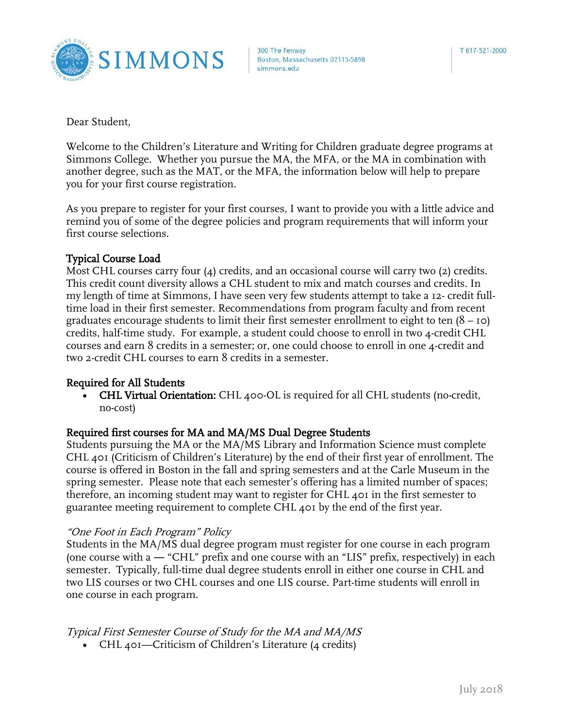

Dear Student,

Welcome to the Children's Literature and Writing for Children graduate degree programs at Simmons College. Whether you pursue the MA, the MFA, or the MA in combination with another degree, such as the MAT, or the MFA, the information below will help to prepare you for your first course registration.

As you prepare to register for your first courses, I want to provide you with a little advice and remind you of some of the degree policies and program requirements that will inform your first course selections.

### Typical Course Load

Most CHL courses carry four (4) credits, and an occasional course will carry two (2) credits. This credit count diversity allows a CHL student to mix and match courses and credits. In my length of time at Simmons, I have seen very few students attempt to take a 12- credit fulltime load in their first semester. Recommendations from program faculty and from recent graduates encourage students to limit their first semester enrollment to eight to ten  $(8 - 10)$ credits, half-time study. For example, a student could choose to enroll in two 4-credit CHL courses and earn 8 credits in a semester; or, one could choose to enroll in one 4-credit and two 2-credit CHL courses to earn 8 credits in a semester.

# Required for All Students

• CHL Virtual Orientation: CHL 400-OL is required for all CHL students (no-credit, no-cost)

# Required first courses for MA and MA/MS Dual Degree Students

Students pursuing the MA or the MA/MS Library and Information Science must complete CHL 401 (Criticism of Children's Literature) by the end of their first year of enrollment. The course is offered in Boston in the fall and spring semesters and at the Carle Museum in the spring semester. Please note that each semester's offering has a limited number of spaces; therefore, an incoming student may want to register for CHL 401 in the first semester to guarantee meeting requirement to complete CHL 401 by the end of the first year.

#### "One Foot in Each Program" Policy

Students in the MA/MS dual degree program must register for one course in each program (one course with a ― "CHL" prefix and one course with an "LIS" prefix, respectively) in each semester. Typically, full-time dual degree students enroll in either one course in CHL and two LIS courses or two CHL courses and one LIS course. Part-time students will enroll in one course in each program.

# Typical First Semester Course of Study for the MA and MA/MS

• CHL 401—Criticism of Children's Literature (4 credits)